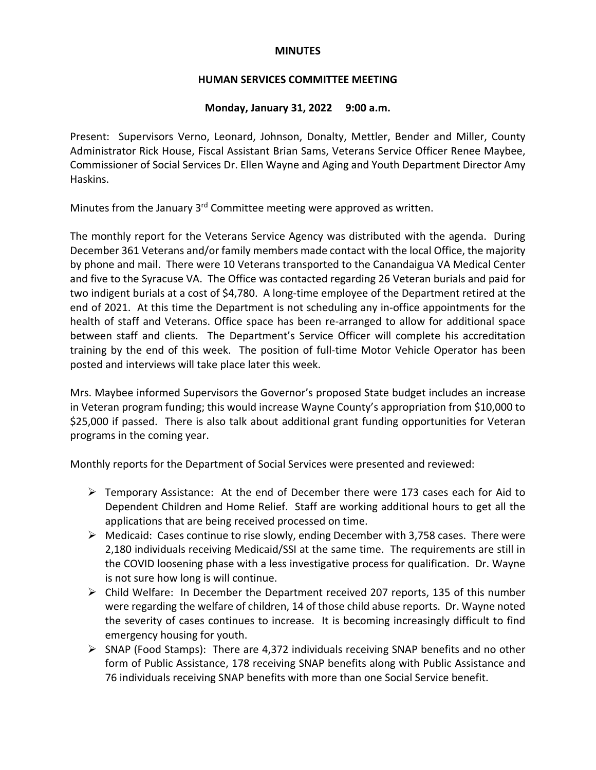## **MINUTES**

## **HUMAN SERVICES COMMITTEE MEETING**

## **Monday, January 31, 2022 9:00 a.m.**

Present: Supervisors Verno, Leonard, Johnson, Donalty, Mettler, Bender and Miller, County Administrator Rick House, Fiscal Assistant Brian Sams, Veterans Service Officer Renee Maybee, Commissioner of Social Services Dr. Ellen Wayne and Aging and Youth Department Director Amy Haskins.

Minutes from the January 3<sup>rd</sup> Committee meeting were approved as written.

The monthly report for the Veterans Service Agency was distributed with the agenda. During December 361 Veterans and/or family members made contact with the local Office, the majority by phone and mail. There were 10 Veterans transported to the Canandaigua VA Medical Center and five to the Syracuse VA. The Office was contacted regarding 26 Veteran burials and paid for two indigent burials at a cost of \$4,780. A long-time employee of the Department retired at the end of 2021. At this time the Department is not scheduling any in-office appointments for the health of staff and Veterans. Office space has been re-arranged to allow for additional space between staff and clients. The Department's Service Officer will complete his accreditation training by the end of this week. The position of full-time Motor Vehicle Operator has been posted and interviews will take place later this week.

Mrs. Maybee informed Supervisors the Governor's proposed State budget includes an increase in Veteran program funding; this would increase Wayne County's appropriation from \$10,000 to \$25,000 if passed. There is also talk about additional grant funding opportunities for Veteran programs in the coming year.

Monthly reports for the Department of Social Services were presented and reviewed:

- $\triangleright$  Temporary Assistance: At the end of December there were 173 cases each for Aid to Dependent Children and Home Relief. Staff are working additional hours to get all the applications that are being received processed on time.
- $\triangleright$  Medicaid: Cases continue to rise slowly, ending December with 3,758 cases. There were 2,180 individuals receiving Medicaid/SSI at the same time. The requirements are still in the COVID loosening phase with a less investigative process for qualification. Dr. Wayne is not sure how long is will continue.
- $\triangleright$  Child Welfare: In December the Department received 207 reports, 135 of this number were regarding the welfare of children, 14 of those child abuse reports. Dr. Wayne noted the severity of cases continues to increase. It is becoming increasingly difficult to find emergency housing for youth.
- $\triangleright$  SNAP (Food Stamps): There are 4,372 individuals receiving SNAP benefits and no other form of Public Assistance, 178 receiving SNAP benefits along with Public Assistance and 76 individuals receiving SNAP benefits with more than one Social Service benefit.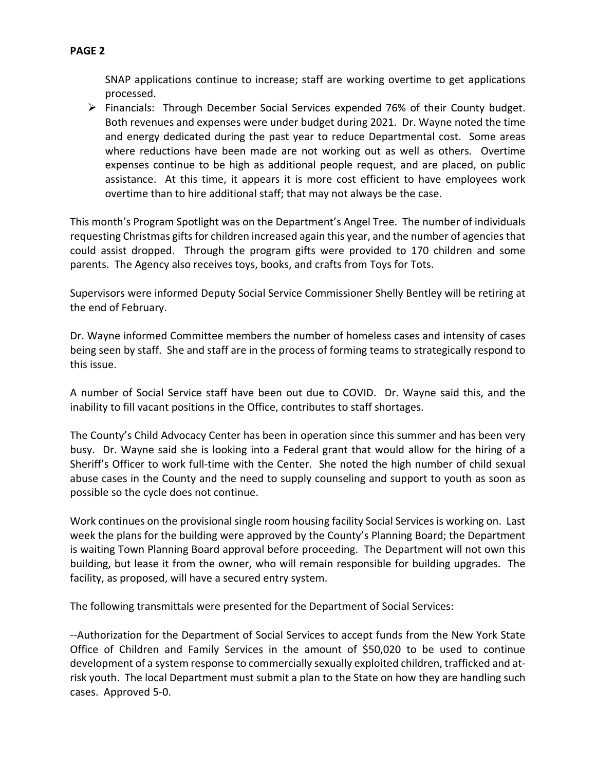SNAP applications continue to increase; staff are working overtime to get applications processed.

 $\triangleright$  Financials: Through December Social Services expended 76% of their County budget. Both revenues and expenses were under budget during 2021. Dr. Wayne noted the time and energy dedicated during the past year to reduce Departmental cost. Some areas where reductions have been made are not working out as well as others. Overtime expenses continue to be high as additional people request, and are placed, on public assistance. At this time, it appears it is more cost efficient to have employees work overtime than to hire additional staff; that may not always be the case.

This month's Program Spotlight was on the Department's Angel Tree. The number of individuals requesting Christmas gifts for children increased again this year, and the number of agencies that could assist dropped. Through the program gifts were provided to 170 children and some parents. The Agency also receives toys, books, and crafts from Toys for Tots.

Supervisors were informed Deputy Social Service Commissioner Shelly Bentley will be retiring at the end of February.

Dr. Wayne informed Committee members the number of homeless cases and intensity of cases being seen by staff. She and staff are in the process of forming teams to strategically respond to this issue.

A number of Social Service staff have been out due to COVID. Dr. Wayne said this, and the inability to fill vacant positions in the Office, contributes to staff shortages.

The County's Child Advocacy Center has been in operation since this summer and has been very busy. Dr. Wayne said she is looking into a Federal grant that would allow for the hiring of a Sheriff's Officer to work full-time with the Center. She noted the high number of child sexual abuse cases in the County and the need to supply counseling and support to youth as soon as possible so the cycle does not continue.

Work continues on the provisional single room housing facility Social Services is working on. Last week the plans for the building were approved by the County's Planning Board; the Department is waiting Town Planning Board approval before proceeding. The Department will not own this building, but lease it from the owner, who will remain responsible for building upgrades. The facility, as proposed, will have a secured entry system.

The following transmittals were presented for the Department of Social Services:

--Authorization for the Department of Social Services to accept funds from the New York State Office of Children and Family Services in the amount of \$50,020 to be used to continue development of a system response to commercially sexually exploited children, trafficked and atrisk youth. The local Department must submit a plan to the State on how they are handling such cases. Approved 5-0.